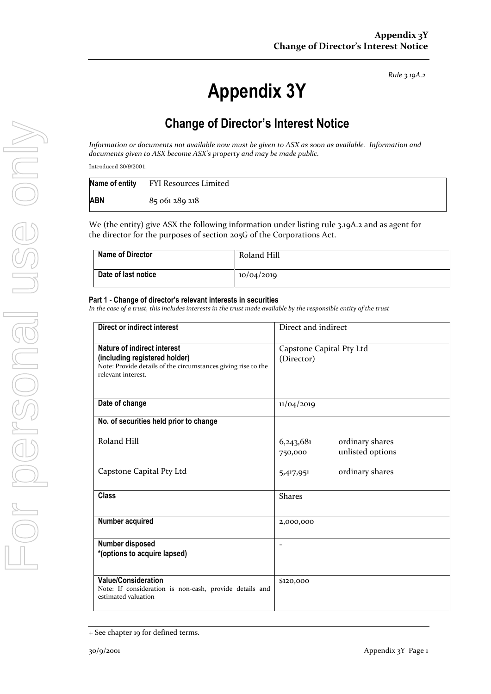*Rule 3.19A.2*

# **Appendix 3Y**

# **Change of Director's Interest Notice**

*Information or documents not available now must be given to ASX as soon as available. Information and documents given to ASX become ASX's property and may be made public.*

Introduced 30/9/2001.

|     | Name of entity FYI Resources Limited |
|-----|--------------------------------------|
| ABN | 85 061 289 218                       |

We (the entity) give ASX the following information under listing rule 3.19A.2 and as agent for the director for the purposes of section 205G of the Corporations Act.

| <b>Name of Director</b> | Roland Hill |
|-------------------------|-------------|
| Date of last notice     | 10/04/2019  |

#### **Part 1 - Change of director's relevant interests in securities**

*In the case of a trust, this includes interests in the trust made available by the responsible entity of the trust*

| Direct or indirect interest                                                                                                                         | Direct and indirect                                         |  |
|-----------------------------------------------------------------------------------------------------------------------------------------------------|-------------------------------------------------------------|--|
| Nature of indirect interest<br>(including registered holder)<br>Note: Provide details of the circumstances giving rise to the<br>relevant interest. | Capstone Capital Pty Ltd<br>(Director)                      |  |
| Date of change                                                                                                                                      | 11/04/2019                                                  |  |
| No. of securities held prior to change                                                                                                              |                                                             |  |
| Roland Hill                                                                                                                                         | 6,243,681<br>ordinary shares<br>unlisted options<br>750,000 |  |
| Capstone Capital Pty Ltd                                                                                                                            | ordinary shares<br>5,417,951                                |  |
| <b>Class</b>                                                                                                                                        | <b>Shares</b>                                               |  |
| Number acquired                                                                                                                                     | 2,000,000                                                   |  |
| Number disposed<br>*(options to acquire lapsed)                                                                                                     | $\overline{\phantom{a}}$                                    |  |
| <b>Value/Consideration</b><br>Note: If consideration is non-cash, provide details and<br>estimated valuation                                        | \$120,000                                                   |  |

<sup>+</sup> See chapter 19 for defined terms.